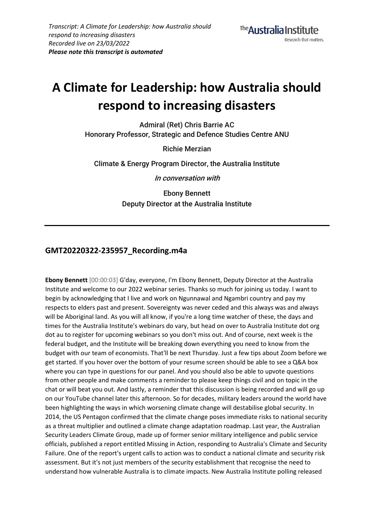# **A Climate for Leadership: how Australia should respond to increasing disasters**

**Admiral (Ret) Chris Barrie AC Honorary Professor, Strategic and Defence Studies Centre ANU**

**Richie Merzian**

**Climate & Energy Program Director, the Australia Institute**

**In conversation with**

**Ebony Bennett Deputy Director at the Australia Institute**

# **GMT20220322-235957\_Recording.m4a**

**Ebony Bennett** [00:00:03] G'day, everyone, I'm Ebony Bennett, Deputy Director at the Australia Institute and welcome to our 2022 webinar series. Thanks so much for joining us today. I want to begin by acknowledging that I live and work on Ngunnawal and Ngambri country and pay my respects to elders past and present. Sovereignty was never ceded and this always was and always will be Aboriginal land. As you will all know, if you're a long time watcher of these, the days and times for the Australia Institute's webinars do vary, but head on over to Australia Institute dot org dot au to register for upcoming webinars so you don't miss out. And of course, next week is the federal budget, and the Institute will be breaking down everything you need to know from the budget with our team of economists. That'll be next Thursday. Just a few tips about Zoom before we get started. If you hover over the bottom of your resume screen should be able to see a Q&A box where you can type in questions for our panel. And you should also be able to upvote questions from other people and make comments a reminder to please keep things civil and on topic in the chat or will beat you out. And lastly, a reminder that this discussion is being recorded and will go up on our YouTube channel later this afternoon. So for decades, military leaders around the world have been highlighting the ways in which worsening climate change will destabilise global security. In 2014, the US Pentagon confirmed that the climate change poses immediate risks to national security as a threat multiplier and outlined a climate change adaptation roadmap. Last year, the Australian Security Leaders Climate Group, made up of former senior military intelligence and public service officials, published a report entitled Missing in Action, responding to Australia's Climate and Security Failure. One of the report's urgent calls to action was to conduct a national climate and security risk assessment. But it's not just members of the security establishment that recognise the need to understand how vulnerable Australia is to climate impacts. New Australia Institute polling released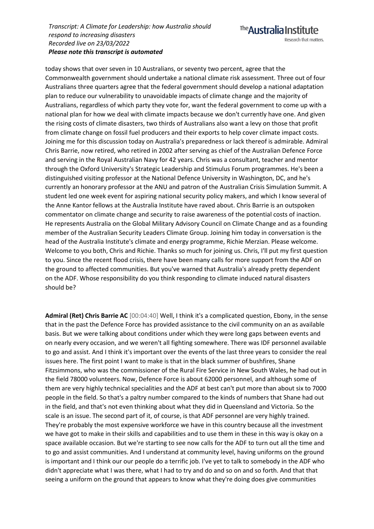The **Australia Institute** 

today shows that over seven in 10 Australians, or seventy two percent, agree that the Commonwealth government should undertake a national climate risk assessment. Three out of four Australians three quarters agree that the federal government should develop a national adaptation plan to reduce our vulnerability to unavoidable impacts of climate change and the majority of Australians, regardless of which party they vote for, want the federal government to come up with a national plan for how we deal with climate impacts because we don't currently have one. And given the rising costs of climate disasters, two thirds of Australians also want a levy on those that profit from climate change on fossil fuel producers and their exports to help cover climate impact costs. Joining me for this discussion today on Australia's preparedness or lack thereof is admirable. Admiral Chris Barrie, now retired, who retired in 2002 after serving as chief of the Australian Defence Force and serving in the Royal Australian Navy for 42 years. Chris was a consultant, teacher and mentor through the Oxford University's Strategic Leadership and Stimulus Forum programmes. He's been a distinguished visiting professor at the National Defence University in Washington, DC, and he's currently an honorary professor at the ANU and patron of the Australian Crisis Simulation Summit. A student led one week event for aspiring national security policy makers, and which I know several of the Anne Kantor fellows at the Australia Institute have raved about. Chris Barrie is an outspoken commentator on climate change and security to raise awareness of the potential costs of inaction. He represents Australia on the Global Military Advisory Council on Climate Change and as a founding member of the Australian Security Leaders Climate Group. Joining him today in conversation is the head of the Australia Institute's climate and energy programme, Richie Merzian. Please welcome. Welcome to you both, Chris and Richie. Thanks so much for joining us. Chris, I'll put my first question to you. Since the recent flood crisis, there have been many calls for more support from the ADF on the ground to affected communities. But you've warned that Australia's already pretty dependent on the ADF. Whose responsibility do you think responding to climate induced natural disasters should be?

**Admiral (Ret) Chris Barrie AC** [00:04:40] Well, I think it's a complicated question, Ebony, in the sense that in the past the Defence Force has provided assistance to the civil community on an as available basis. But we were talking about conditions under which they were long gaps between events and on nearly every occasion, and we weren't all fighting somewhere. There was IDF personnel available to go and assist. And I think it's important over the events of the last three years to consider the real issues here. The first point I want to make is that in the black summer of bushfires, Shane Fitzsimmons, who was the commissioner of the Rural Fire Service in New South Wales, he had out in the field 78000 volunteers. Now, Defence Force is about 62000 personnel, and although some of them are very highly technical specialities and the ADF at best can't put more than about six to 7000 people in the field. So that's a paltry number compared to the kinds of numbers that Shane had out in the field, and that's not even thinking about what they did in Queensland and Victoria. So the scale is an issue. The second part of it, of course, is that ADF personnel are very highly trained. They're probably the most expensive workforce we have in this country because all the investment we have got to make in their skills and capabilities and to use them in these in this way is okay on a space available occasion. But we're starting to see now calls for the ADF to turn out all the time and to go and assist communities. And I understand at community level, having uniforms on the ground is important and I think our our people do a terrific job. I've yet to talk to somebody in the ADF who didn't appreciate what I was there, what I had to try and do and so on and so forth. And that that seeing a uniform on the ground that appears to know what they're doing does give communities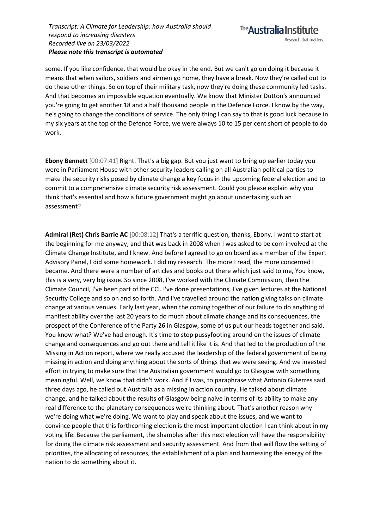some. If you like confidence, that would be okay in the end. But we can't go on doing it because it means that when sailors, soldiers and airmen go home, they have a break. Now they're called out to do these other things. So on top of their military task, now they're doing these community led tasks. And that becomes an impossible equation eventually. We know that Minister Dutton's announced you're going to get another 18 and a half thousand people in the Defence Force. I know by the way, he's going to change the conditions of service. The only thing I can say to that is good luck because in my six years at the top of the Defence Force, we were always 10 to 15 per cent short of people to do work.

**Ebony Bennett** [00:07:41] Right. That's a big gap. But you just want to bring up earlier today you were in Parliament House with other security leaders calling on all Australian political parties to make the security risks posed by climate change a key focus in the upcoming federal election and to commit to a comprehensive climate security risk assessment. Could you please explain why you think that's essential and how a future government might go about undertaking such an assessment?

**Admiral (Ret) Chris Barrie AC** [00:08:12] That's a terrific question, thanks, Ebony. I want to start at the beginning for me anyway, and that was back in 2008 when I was asked to be com involved at the Climate Change Institute, and I knew. And before I agreed to go on board as a member of the Expert Advisory Panel, I did some homework. I did my research. The more I read, the more concerned I became. And there were a number of articles and books out there which just said to me, You know, this is a very, very big issue. So since 2008, I've worked with the Climate Commission, then the Climate Council, I've been part of the CCI. I've done presentations, I've given lectures at the National Security College and so on and so forth. And I've travelled around the nation giving talks on climate change at various venues. Early last year, when the coming together of our failure to do anything of manifest ability over the last 20 years to do much about climate change and its consequences, the prospect of the Conference of the Party 26 in Glasgow, some of us put our heads together and said, You know what? We've had enough. It's time to stop pussyfooting around on the issues of climate change and consequences and go out there and tell it like it is. And that led to the production of the Missing in Action report, where we really accused the leadership of the federal government of being missing in action and doing anything about the sorts of things that we were seeing. And we invested effort in trying to make sure that the Australian government would go to Glasgow with something meaningful. Well, we know that didn't work. And if I was, to paraphrase what Antonio Guterres said three days ago, he called out Australia as a missing in action country. He talked about climate change, and he talked about the results of Glasgow being naive in terms of its ability to make any real difference to the planetary consequences we're thinking about. That's another reason why we're doing what we're doing. We want to play and speak about the issues, and we want to convince people that this forthcoming election is the most important election I can think about in my voting life. Because the parliament, the shambles after this next election will have the responsibility for doing the climate risk assessment and security assessment. And from that will flow the setting of priorities, the allocating of resources, the establishment of a plan and harnessing the energy of the nation to do something about it.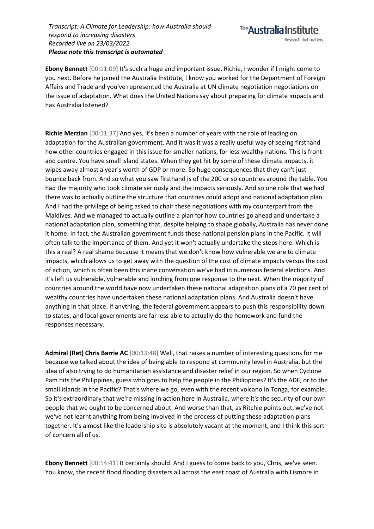**Ebony Bennett** [00:11:09] It's such a huge and important issue, Richie, I wonder if I might come to you next. Before he joined the Australia Institute, I know you worked for the Department of Foreign Affairs and Trade and you've represented the Australia at UN climate negotiation negotiations on the issue of adaptation. What does the United Nations say about preparing for climate impacts and has Australia listened?

**Richie Merzian** [00:11:37] And yes, it's been a number of years with the role of leading on adaptation for the Australian government. And it was it was a really useful way of seeing firsthand how other countries engaged in this issue for smaller nations, for less wealthy nations. This is front and centre. You have small island states. When they get hit by some of these climate impacts, it wipes away almost a year's worth of GDP or more. So huge consequences that they can't just bounce back from. And so what you saw firsthand is of the 200 or so countries around the table. You had the majority who took climate seriously and the impacts seriously. And so one role that we had there was to actually outline the structure that countries could adopt and national adaptation plan. And I had the privilege of being asked to chair these negotiations with my counterpart from the Maldives. And we managed to actually outline a plan for how countries go ahead and undertake a national adaptation plan, something that, despite helping to shape globally, Australia has never done it home. In fact, the Australian government funds these national pension plans in the Pacific. It will often talk to the importance of them. And yet it won't actually undertake the steps here. Which is this a real? A real shame because it means that we don't know how vulnerable we are to climate impacts, which allows us to get away with the question of the cost of climate impacts versus the cost of action, which is often been this inane conversation we've had in numerous federal elections. And it's left us vulnerable, vulnerable and lurching from one response to the next. When the majority of countries around the world have now undertaken these national adaptation plans of a 70 per cent of wealthy countries have undertaken these national adaptation plans. And Australia doesn't have anything in that place. If anything, the federal government appears to push this responsibility down to states, and local governments are far less able to actually do the homework and fund the responses necessary.

**Admiral (Ret) Chris Barrie AC** [00:13:48] Well, that raises a number of interesting questions for me because we talked about the idea of being able to respond at community level in Australia, but the idea of also trying to do humanitarian assistance and disaster relief in our region. So when Cyclone Pam hits the Philippines, guess who goes to help the people in the Philippines? It's the ADF, or to the small islands in the Pacific? That's where we go, even with the recent volcano in Tonga, for example. So it's extraordinary that we're missing in action here in Australia, where it's the security of our own people that we ought to be concerned about. And worse than that, as Ritchie points out, we've not we've not learnt anything from being involved in the process of putting these adaptation plans together. It's almost like the leadership site is absolutely vacant at the moment, and I think this sort of concern all of us.

**Ebony Bennett** [00:14:41] It certainly should. And I guess to come back to you, Chris, we've seen. You know, the recent flood flooding disasters all across the east coast of Australia with Lismore in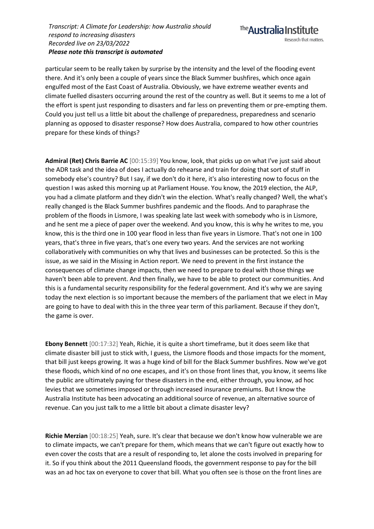particular seem to be really taken by surprise by the intensity and the level of the flooding event there. And it's only been a couple of years since the Black Summer bushfires, which once again engulfed most of the East Coast of Australia. Obviously, we have extreme weather events and climate fuelled disasters occurring around the rest of the country as well. But it seems to me a lot of the effort is spent just responding to disasters and far less on preventing them or pre-empting them. Could you just tell us a little bit about the challenge of preparedness, preparedness and scenario planning as opposed to disaster response? How does Australia, compared to how other countries prepare for these kinds of things?

**Admiral (Ret) Chris Barrie AC** [00:15:39] You know, look, that picks up on what I've just said about the ADR task and the idea of does I actually do rehearse and train for doing that sort of stuff in somebody else's country? But I say, if we don't do it here, it's also interesting now to focus on the question I was asked this morning up at Parliament House. You know, the 2019 election, the ALP, you had a climate platform and they didn't win the election. What's really changed? Well, the what's really changed is the Black Summer bushfires pandemic and the floods. And to paraphrase the problem of the floods in Lismore, I was speaking late last week with somebody who is in Lismore, and he sent me a piece of paper over the weekend. And you know, this is why he writes to me, you know, this is the third one in 100 year flood in less than five years in Lismore. That's not one in 100 years, that's three in five years, that's one every two years. And the services are not working collaboratively with communities on why that lives and businesses can be protected. So this is the issue, as we said in the Missing in Action report. We need to prevent in the first instance the consequences of climate change impacts, then we need to prepare to deal with those things we haven't been able to prevent. And then finally, we have to be able to protect our communities. And this is a fundamental security responsibility for the federal government. And it's why we are saying today the next election is so important because the members of the parliament that we elect in May are going to have to deal with this in the three year term of this parliament. Because if they don't, the game is over.

**Ebony Bennett** [00:17:32] Yeah, Richie, it is quite a short timeframe, but it does seem like that climate disaster bill just to stick with, I guess, the Lismore floods and those impacts for the moment, that bill just keeps growing. It was a huge kind of bill for the Black Summer bushfires. Now we've got these floods, which kind of no one escapes, and it's on those front lines that, you know, it seems like the public are ultimately paying for these disasters in the end, either through, you know, ad hoc levies that we sometimes imposed or through increased insurance premiums. But I know the Australia Institute has been advocating an additional source of revenue, an alternative source of revenue. Can you just talk to me a little bit about a climate disaster levy?

**Richie Merzian** [00:18:25] Yeah, sure. It's clear that because we don't know how vulnerable we are to climate impacts, we can't prepare for them, which means that we can't figure out exactly how to even cover the costs that are a result of responding to, let alone the costs involved in preparing for it. So if you think about the 2011 Queensland floods, the government response to pay for the bill was an ad hoc tax on everyone to cover that bill. What you often see is those on the front lines are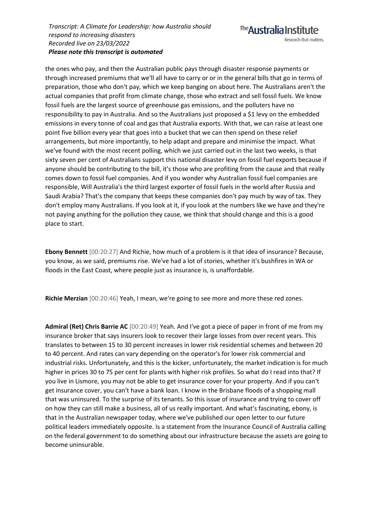the ones who pay, and then the Australian public pays through disaster response payments or through increased premiums that we'll all have to carry or or in the general bills that go in terms of preparation, those who don't pay, which we keep banging on about here. The Australians aren't the actual companies that profit from climate change, those who extract and sell fossil fuels. We know fossil fuels are the largest source of greenhouse gas emissions, and the polluters have no responsibility to pay in Australia. And so the Australians just proposed a \$1 levy on the embedded emissions in every tonne of coal and gas that Australia exports. With that, we can raise at least one point five billion every year that goes into a bucket that we can then spend on these relief arrangements, but more importantly, to help adapt and prepare and minimise the impact. What we've found with the most recent polling, which we just carried out in the last two weeks, is that sixty seven per cent of Australians support this national disaster levy on fossil fuel exports because if anyone should be contributing to the bill, it's those who are profiting from the cause and that really comes down to fossil fuel companies. And if you wonder why Australian fossil fuel companies are responsible, Will Australia's the third largest exporter of fossil fuels in the world after Russia and Saudi Arabia? That's the company that keeps these companies don't pay much by way of tax. They don't employ many Australians. If you look at it, if you look at the numbers like we have and they're not paying anything for the pollution they cause, we think that should change and this is a good place to start.

**Ebony Bennett** [00:20:27] And Richie, how much of a problem is it that idea of insurance? Because, you know, as we said, premiums rise. We've had a lot of stories, whether it's bushfires in WA or floods in the East Coast, where people just as insurance is, is unaffordable.

**Richie Merzian** [00:20:46] Yeah, I mean, we're going to see more and more these red zones.

**Admiral (Ret) Chris Barrie AC** [00:20:49] Yeah. And I've got a piece of paper in front of me from my insurance broker that says insurers look to recover their large losses from over recent years. This translates to between 15 to 30 percent increases in lower risk residential schemes and between 20 to 40 percent. And rates can vary depending on the operator's for lower risk commercial and industrial risks. Unfortunately, and this is the kicker, unfortunately, the market indication is for much higher in prices 30 to 75 per cent for plants with higher risk profiles. So what do I read into that? If you live in Lismore, you may not be able to get insurance cover for your property. And if you can't get insurance cover, you can't have a bank loan. I know in the Brisbane floods of a shopping mall that was uninsured. To the surprise of its tenants. So this issue of insurance and trying to cover off on how they can still make a business, all of us really important. And what's fascinating, ebony, is that in the Australian newspaper today, where we've published our open letter to our future political leaders immediately opposite. Is a statement from the Insurance Council of Australia calling on the federal government to do something about our infrastructure because the assets are going to become uninsurable.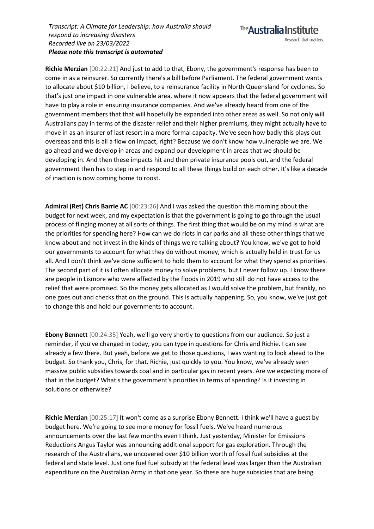**Richie Merzian** [00:22:21] And just to add to that, Ebony, the government's response has been to come in as a reinsurer. So currently there's a bill before Parliament. The federal government wants to allocate about \$10 billion, I believe, to a reinsurance facility in North Queensland for cyclones. So that's just one impact in one vulnerable area, where it now appears that the federal government will have to play a role in ensuring insurance companies. And we've already heard from one of the government members that that will hopefully be expanded into other areas as well. So not only will Australians pay in terms of the disaster relief and their higher premiums, they might actually have to move in as an insurer of last resort in a more formal capacity. We've seen how badly this plays out overseas and this is all a flow on impact, right? Because we don't know how vulnerable we are. We go ahead and we develop in areas and expand our development in areas that we should be developing in. And then these impacts hit and then private insurance pools out, and the federal government then has to step in and respond to all these things build on each other. It's like a decade of inaction is now coming home to roost.

**Admiral (Ret) Chris Barrie AC** [00:23:26] And I was asked the question this morning about the budget for next week, and my expectation is that the government is going to go through the usual process of flinging money at all sorts of things. The first thing that would be on my mind is what are the priorities for spending here? How can we do riots in car parks and all these other things that we know about and not invest in the kinds of things we're talking about? You know, we've got to hold our governments to account for what they do without money, which is actually held in trust for us all. And I don't think we've done sufficient to hold them to account for what they spend as priorities. The second part of it is I often allocate money to solve problems, but I never follow up. I know there are people in Lismore who were affected by the floods in 2019 who still do not have access to the relief that were promised. So the money gets allocated as I would solve the problem, but frankly, no one goes out and checks that on the ground. This is actually happening. So, you know, we've just got to change this and hold our governments to account.

**Ebony Bennett** [00:24:35] Yeah, we'll go very shortly to questions from our audience. So just a reminder, if you've changed in today, you can type in questions for Chris and Richie. I can see already a few there. But yeah, before we get to those questions, I was wanting to look ahead to the budget. So thank you, Chris, for that. Richie, just quickly to you. You know, we've already seen massive public subsidies towards coal and in particular gas in recent years. Are we expecting more of that in the budget? What's the government's priorities in terms of spending? Is it investing in solutions or otherwise?

**Richie Merzian** [00:25:17] It won't come as a surprise Ebony Bennett. I think we'll have a guest by budget here. We're going to see more money for fossil fuels. We've heard numerous announcements over the last few months even I think. Just yesterday, Minister for Emissions Reductions Angus Taylor was announcing additional support for gas exploration. Through the research of the Australians, we uncovered over \$10 billion worth of fossil fuel subsidies at the federal and state level. Just one fuel fuel subsidy at the federal level was larger than the Australian expenditure on the Australian Army in that one year. So these are huge subsidies that are being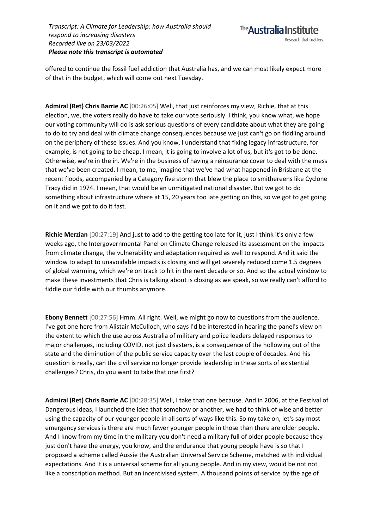

offered to continue the fossil fuel addiction that Australia has, and we can most likely expect more of that in the budget, which will come out next Tuesday.

**Admiral (Ret) Chris Barrie AC** [00:26:05] Well, that just reinforces my view, Richie, that at this election, we, the voters really do have to take our vote seriously. I think, you know what, we hope our voting community will do is ask serious questions of every candidate about what they are going to do to try and deal with climate change consequences because we just can't go on fiddling around on the periphery of these issues. And you know, I understand that fixing legacy infrastructure, for example, is not going to be cheap. I mean, it is going to involve a lot of us, but it's got to be done. Otherwise, we're in the in. We're in the business of having a reinsurance cover to deal with the mess that we've been created. I mean, to me, imagine that we've had what happened in Brisbane at the recent floods, accompanied by a Category five storm that blew the place to smithereens like Cyclone Tracy did in 1974. I mean, that would be an unmitigated national disaster. But we got to do something about infrastructure where at 15, 20 years too late getting on this, so we got to get going on it and we got to do it fast.

**Richie Merzian** [00:27:19] And just to add to the getting too late for it, just I think it's only a few weeks ago, the Intergovernmental Panel on Climate Change released its assessment on the impacts from climate change, the vulnerability and adaptation required as well to respond. And it said the window to adapt to unavoidable impacts is closing and will get severely reduced come 1.5 degrees of global warming, which we're on track to hit in the next decade or so. And so the actual window to make these investments that Chris is talking about is closing as we speak, so we really can't afford to fiddle our fiddle with our thumbs anymore.

**Ebony Bennett** [00:27:56] Hmm. All right. Well, we might go now to questions from the audience. I've got one here from Alistair McCulloch, who says I'd be interested in hearing the panel's view on the extent to which the use across Australia of military and police leaders delayed responses to major challenges, including COVID, not just disasters, is a consequence of the hollowing out of the state and the diminution of the public service capacity over the last couple of decades. And his question is really, can the civil service no longer provide leadership in these sorts of existential challenges? Chris, do you want to take that one first?

**Admiral (Ret) Chris Barrie AC** [00:28:35] Well, I take that one because. And in 2006, at the Festival of Dangerous Ideas, I launched the idea that somehow or another, we had to think of wise and better using the capacity of our younger people in all sorts of ways like this. So my take on, let's say most emergency services is there are much fewer younger people in those than there are older people. And I know from my time in the military you don't need a military full of older people because they just don't have the energy, you know, and the endurance that young people have is so that I proposed a scheme called Aussie the Australian Universal Service Scheme, matched with individual expectations. And it is a universal scheme for all young people. And in my view, would be not not like a conscription method. But an incentivised system. A thousand points of service by the age of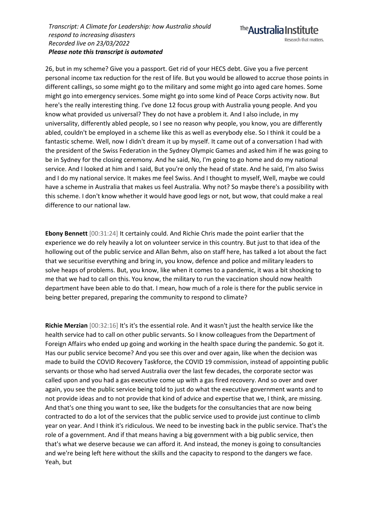26, but in my scheme? Give you a passport. Get rid of your HECS debt. Give you a five percent personal income tax reduction for the rest of life. But you would be allowed to accrue those points in different callings, so some might go to the military and some might go into aged care homes. Some might go into emergency services. Some might go into some kind of Peace Corps activity now. But here's the really interesting thing. I've done 12 focus group with Australia young people. And you know what provided us universal? They do not have a problem it. And I also include, in my universality, differently abled people, so I see no reason why people, you know, you are differently abled, couldn't be employed in a scheme like this as well as everybody else. So I think it could be a fantastic scheme. Well, now I didn't dream it up by myself. It came out of a conversation I had with the president of the Swiss Federation in the Sydney Olympic Games and asked him if he was going to be in Sydney for the closing ceremony. And he said, No, I'm going to go home and do my national service. And I looked at him and I said, But you're only the head of state. And he said, I'm also Swiss and I do my national service. It makes me feel Swiss. And I thought to myself, Well, maybe we could have a scheme in Australia that makes us feel Australia. Why not? So maybe there's a possibility with this scheme. I don't know whether it would have good legs or not, but wow, that could make a real difference to our national law.

**Ebony Bennett** [00:31:24] It certainly could. And Richie Chris made the point earlier that the experience we do rely heavily a lot on volunteer service in this country. But just to that idea of the hollowing out of the public service and Allan Behm, also on staff here, has talked a lot about the fact that we securitise everything and bring in, you know, defence and police and military leaders to solve heaps of problems. But, you know, like when it comes to a pandemic, it was a bit shocking to me that we had to call on this. You know, the military to run the vaccination should now health department have been able to do that. I mean, how much of a role is there for the public service in being better prepared, preparing the community to respond to climate?

**Richie Merzian** [00:32:16] It's it's the essential role. And it wasn't just the health service like the health service had to call on other public servants. So I know colleagues from the Department of Foreign Affairs who ended up going and working in the health space during the pandemic. So got it. Has our public service become? And you see this over and over again, like when the decision was made to build the COVID Recovery Taskforce, the COVID 19 commission, instead of appointing public servants or those who had served Australia over the last few decades, the corporate sector was called upon and you had a gas executive come up with a gas fired recovery. And so over and over again, you see the public service being told to just do what the executive government wants and to not provide ideas and to not provide that kind of advice and expertise that we, I think, are missing. And that's one thing you want to see, like the budgets for the consultancies that are now being contracted to do a lot of the services that the public service used to provide just continue to climb year on year. And I think it's ridiculous. We need to be investing back in the public service. That's the role of a government. And if that means having a big government with a big public service, then that's what we deserve because we can afford it. And instead, the money is going to consultancies and we're being left here without the skills and the capacity to respond to the dangers we face. Yeah, but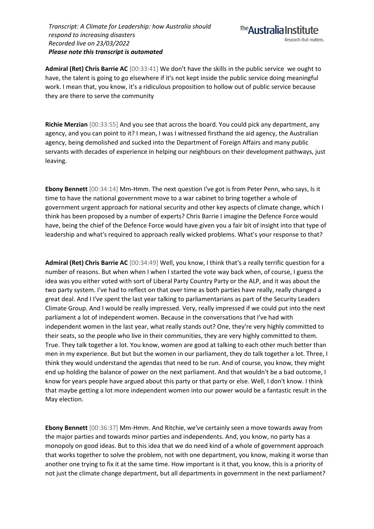

**Admiral (Ret) Chris Barrie AC** [00:33:41] We don't have the skills in the public service we ought to have, the talent is going to go elsewhere if it's not kept inside the public service doing meaningful work. I mean that, you know, it's a ridiculous proposition to hollow out of public service because they are there to serve the community

**Richie Merzian** [00:33:55] And you see that across the board. You could pick any department, any agency, and you can point to it? I mean, I was I witnessed firsthand the aid agency, the Australian agency, being demolished and sucked into the Department of Foreign Affairs and many public servants with decades of experience in helping our neighbours on their development pathways, just leaving.

**Ebony Bennett** [00:34:14] Mm-Hmm. The next question I've got is from Peter Penn, who says, Is it time to have the national government move to a war cabinet to bring together a whole of government urgent approach for national security and other key aspects of climate change, which I think has been proposed by a number of experts? Chris Barrie I imagine the Defence Force would have, being the chief of the Defence Force would have given you a fair bit of insight into that type of leadership and what's required to approach really wicked problems. What's your response to that?

**Admiral (Ret) Chris Barrie AC** [00:34:49] Well, you know, I think that's a really terrific question for a number of reasons. But when when I when I started the vote way back when, of course, I guess the idea was you either voted with sort of Liberal Party Country Party or the ALP, and it was about the two party system. I've had to reflect on that over time as both parties have really, really changed a great deal. And I I've spent the last year talking to parliamentarians as part of the Security Leaders Climate Group. And I would be really impressed. Very, really impressed if we could put into the next parliament a lot of independent women. Because in the conversations that I've had with independent women in the last year, what really stands out? One, they're very highly committed to their seats, so the people who live in their communities, they are very highly committed to them. True. They talk together a lot. You know, women are good at talking to each other much better than men in my experience. But but but the women in our parliament, they do talk together a lot. Three, I think they would understand the agendas that need to be run. And of course, you know, they might end up holding the balance of power on the next parliament. And that wouldn't be a bad outcome, I know for years people have argued about this party or that party or else. Well, I don't know. I think that maybe getting a lot more independent women into our power would be a fantastic result in the May election.

**Ebony Bennett** [00:36:37] Mm-Hmm. And Ritchie, we've certainly seen a move towards away from the major parties and towards minor parties and independents. And, you know, no party has a monopoly on good ideas. But to this idea that we do need kind of a whole of government approach that works together to solve the problem, not with one department, you know, making it worse than another one trying to fix it at the same time. How important is it that, you know, this is a priority of not just the climate change department, but all departments in government in the next parliament?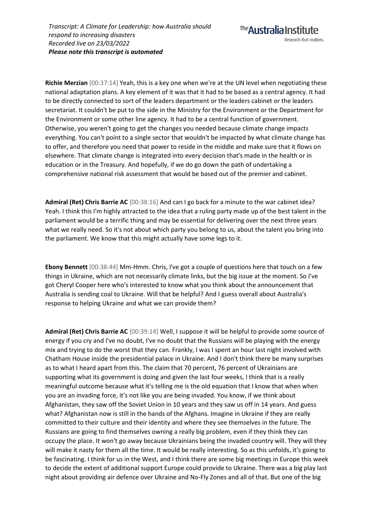**Richie Merzian** [00:37:14] Yeah, this is a key one when we're at the UN level when negotiating these national adaptation plans. A key element of it was that it had to be based as a central agency. It had to be directly connected to sort of the leaders department or the leaders cabinet or the leaders secretariat. It couldn't be put to the side in the Ministry for the Environment or the Department for the Environment or some other line agency. It had to be a central function of government. Otherwise, you weren't going to get the changes you needed because climate change impacts everything. You can't point to a single sector that wouldn't be impacted by what climate change has to offer, and therefore you need that power to reside in the middle and make sure that it flows on elsewhere. That climate change is integrated into every decision that's made in the health or in education or in the Treasury. And hopefully, if we do go down the path of undertaking a comprehensive national risk assessment that would be based out of the premier and cabinet.

**Admiral (Ret) Chris Barrie AC** [00:38:16] And can I go back for a minute to the war cabinet idea? Yeah. I think this I'm highly attracted to the idea that a ruling party made up of the best talent in the parliament would be a terrific thing and may be essential for delivering over the next three years what we really need. So it's not about which party you belong to us, about the talent you bring into the parliament. We know that this might actually have some legs to it.

**Ebony Bennett** [00:38:44] Mm-Hmm. Chris, I've got a couple of questions here that touch on a few things in Ukraine, which are not necessarily climate links, but the big issue at the moment. So I've got Cheryl Cooper here who's interested to know what you think about the announcement that Australia is sending coal to Ukraine. Will that be helpful? And I guess overall about Australia's response to helping Ukraine and what we can provide them?

**Admiral (Ret) Chris Barrie AC** [00:39:14] Well, I suppose it will be helpful to provide some source of energy if you cry and I've no doubt, I've no doubt that the Russians will be playing with the energy mix and trying to do the worst that they can. Frankly, I was I spent an hour last night involved with Chatham House inside the presidential palace in Ukraine. And I don't think there be many surprises as to what I heard apart from this. The claim that 70 percent, 76 percent of Ukrainians are supporting what its government is doing and given the last four weeks, I think that is a really meaningful outcome because what it's telling me is the old equation that I know that when when you are an invading force, it's not like you are being invaded. You know, if we think about Afghanistan, they saw off the Soviet Union in 10 years and they saw us off in 14 years. And guess what? Afghanistan now is still in the hands of the Afghans. Imagine in Ukraine if they are really committed to their culture and their identity and where they see themselves in the future. The Russians are going to find themselves owning a really big problem, even if they think they can occupy the place. It won't go away because Ukrainians being the invaded country will. They will they will make it nasty for them all the time. It would be really interesting. So as this unfolds, it's going to be fascinating. I think for us in the West, and I think there are some big meetings in Europe this week to decide the extent of additional support Europe could provide to Ukraine. There was a big play last night about providing air defence over Ukraine and No-Fly Zones and all of that. But one of the big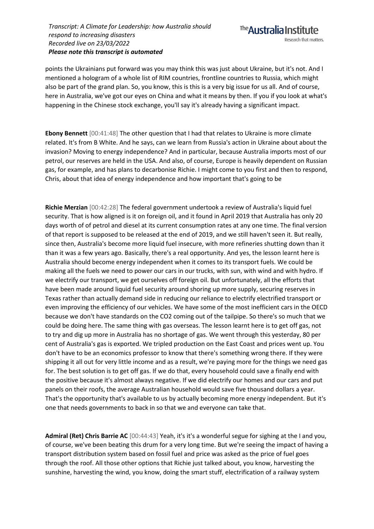points the Ukrainians put forward was you may think this was just about Ukraine, but it's not. And I mentioned a hologram of a whole list of RIM countries, frontline countries to Russia, which might also be part of the grand plan. So, you know, this is this is a very big issue for us all. And of course, here in Australia, we've got our eyes on China and what it means by then. If you if you look at what's happening in the Chinese stock exchange, you'll say it's already having a significant impact.

**Ebony Bennett** [00:41:48] The other question that I had that relates to Ukraine is more climate related. It's from B White. And he says, can we learn from Russia's action in Ukraine about about the invasion? Moving to energy independence? And in particular, because Australia imports most of our petrol, our reserves are held in the USA. And also, of course, Europe is heavily dependent on Russian gas, for example, and has plans to decarbonise Richie. I might come to you first and then to respond, Chris, about that idea of energy independence and how important that's going to be

**Richie Merzian** [00:42:28] The federal government undertook a review of Australia's liquid fuel security. That is how aligned is it on foreign oil, and it found in April 2019 that Australia has only 20 days worth of of petrol and diesel at its current consumption rates at any one time. The final version of that report is supposed to be released at the end of 2019, and we still haven't seen it. But really, since then, Australia's become more liquid fuel insecure, with more refineries shutting down than it than it was a few years ago. Basically, there's a real opportunity. And yes, the lesson learnt here is Australia should become energy independent when it comes to its transport fuels. We could be making all the fuels we need to power our cars in our trucks, with sun, with wind and with hydro. If we electrify our transport, we get ourselves off foreign oil. But unfortunately, all the efforts that have been made around liquid fuel security around shoring up more supply, securing reserves in Texas rather than actually demand side in reducing our reliance to electrify electrified transport or even improving the efficiency of our vehicles. We have some of the most inefficient cars in the OECD because we don't have standards on the CO2 coming out of the tailpipe. So there's so much that we could be doing here. The same thing with gas overseas. The lesson learnt here is to get off gas, not to try and dig up more in Australia has no shortage of gas. We went through this yesterday, 80 per cent of Australia's gas is exported. We tripled production on the East Coast and prices went up. You don't have to be an economics professor to know that there's something wrong there. If they were shipping it all out for very little income and as a result, we're paying more for the things we need gas for. The best solution is to get off gas. If we do that, every household could save a finally end with the positive because it's almost always negative. If we did electrify our homes and our cars and put panels on their roofs, the average Australian household would save five thousand dollars a year. That's the opportunity that's available to us by actually becoming more energy independent. But it's one that needs governments to back in so that we and everyone can take that.

**Admiral (Ret) Chris Barrie AC** [00:44:43] Yeah, it's it's a wonderful segue for sighing at the I and you, of course, we've been beating this drum for a very long time. But we're seeing the impact of having a transport distribution system based on fossil fuel and price was asked as the price of fuel goes through the roof. All those other options that Richie just talked about, you know, harvesting the sunshine, harvesting the wind, you know, doing the smart stuff, electrification of a railway system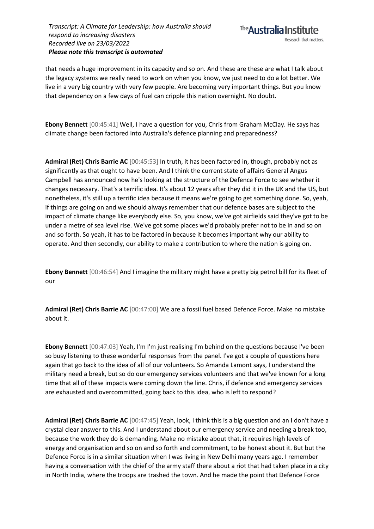that needs a huge improvement in its capacity and so on. And these are these are what I talk about the legacy systems we really need to work on when you know, we just need to do a lot better. We live in a very big country with very few people. Are becoming very important things. But you know that dependency on a few days of fuel can cripple this nation overnight. No doubt.

**Ebony Bennett** [00:45:41] Well, I have a question for you, Chris from Graham McClay. He says has climate change been factored into Australia's defence planning and preparedness?

**Admiral (Ret) Chris Barrie AC** [00:45:53] In truth, it has been factored in, though, probably not as significantly as that ought to have been. And I think the current state of affairs General Angus Campbell has announced now he's looking at the structure of the Defence Force to see whether it changes necessary. That's a terrific idea. It's about 12 years after they did it in the UK and the US, but nonetheless, it's still up a terrific idea because it means we're going to get something done. So, yeah, if things are going on and we should always remember that our defence bases are subject to the impact of climate change like everybody else. So, you know, we've got airfields said they've got to be under a metre of sea level rise. We've got some places we'd probably prefer not to be in and so on and so forth. So yeah, it has to be factored in because it becomes important why our ability to operate. And then secondly, our ability to make a contribution to where the nation is going on.

**Ebony Bennett** [00:46:54] And I imagine the military might have a pretty big petrol bill for its fleet of our

**Admiral (Ret) Chris Barrie AC** [00:47:00] We are a fossil fuel based Defence Force. Make no mistake about it.

**Ebony Bennett** [00:47:03] Yeah, I'm I'm just realising I'm behind on the questions because I've been so busy listening to these wonderful responses from the panel. I've got a couple of questions here again that go back to the idea of all of our volunteers. So Amanda Lamont says, I understand the military need a break, but so do our emergency services volunteers and that we've known for a long time that all of these impacts were coming down the line. Chris, if defence and emergency services are exhausted and overcommitted, going back to this idea, who is left to respond?

**Admiral (Ret) Chris Barrie AC** [00:47:45] Yeah, look, I think this is a big question and an I don't have a crystal clear answer to this. And I understand about our emergency service and needing a break too, because the work they do is demanding. Make no mistake about that, it requires high levels of energy and organisation and so on and so forth and commitment, to be honest about it. But but the Defence Force is in a similar situation when I was living in New Delhi many years ago. I remember having a conversation with the chief of the army staff there about a riot that had taken place in a city in North India, where the troops are trashed the town. And he made the point that Defence Force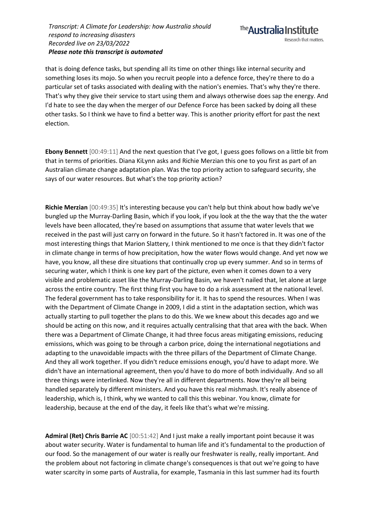that is doing defence tasks, but spending all its time on other things like internal security and something loses its mojo. So when you recruit people into a defence force, they're there to do a particular set of tasks associated with dealing with the nation's enemies. That's why they're there. That's why they give their service to start using them and always otherwise does sap the energy. And I'd hate to see the day when the merger of our Defence Force has been sacked by doing all these other tasks. So I think we have to find a better way. This is another priority effort for past the next election.

**Ebony Bennett** [00:49:11] And the next question that I've got, I guess goes follows on a little bit from that in terms of priorities. Diana KiLynn asks and Richie Merzian this one to you first as part of an Australian climate change adaptation plan. Was the top priority action to safeguard security, she says of our water resources. But what's the top priority action?

**Richie Merzian** [00:49:35] It's interesting because you can't help but think about how badly we've bungled up the Murray-Darling Basin, which if you look, if you look at the the way that the the water levels have been allocated, they're based on assumptions that assume that water levels that we received in the past will just carry on forward in the future. So it hasn't factored in. It was one of the most interesting things that Marion Slattery, I think mentioned to me once is that they didn't factor in climate change in terms of how precipitation, how the water flows would change. And yet now we have, you know, all these dire situations that continually crop up every summer. And so in terms of securing water, which I think is one key part of the picture, even when it comes down to a very visible and problematic asset like the Murray-Darling Basin, we haven't nailed that, let alone at large across the entire country. The first thing first you have to do a risk assessment at the national level. The federal government has to take responsibility for it. It has to spend the resources. When I was with the Department of Climate Change in 2009, I did a stint in the adaptation section, which was actually starting to pull together the plans to do this. We we knew about this decades ago and we should be acting on this now, and it requires actually centralising that that area with the back. When there was a Department of Climate Change, it had three focus areas mitigating emissions, reducing emissions, which was going to be through a carbon price, doing the international negotiations and adapting to the unavoidable impacts with the three pillars of the Department of Climate Change. And they all work together. If you didn't reduce emissions enough, you'd have to adapt more. We didn't have an international agreement, then you'd have to do more of both individually. And so all three things were interlinked. Now they're all in different departments. Now they're all being handled separately by different ministers. And you have this real mishmash. It's really absence of leadership, which is, I think, why we wanted to call this this webinar. You know, climate for leadership, because at the end of the day, it feels like that's what we're missing.

**Admiral (Ret) Chris Barrie AC** [00:51:42] And I just make a really important point because it was about water security. Water is fundamental to human life and it's fundamental to the production of our food. So the management of our water is really our freshwater is really, really important. And the problem about not factoring in climate change's consequences is that out we're going to have water scarcity in some parts of Australia, for example, Tasmania in this last summer had its fourth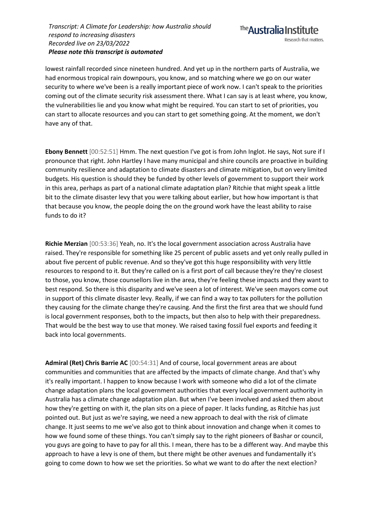lowest rainfall recorded since nineteen hundred. And yet up in the northern parts of Australia, we had enormous tropical rain downpours, you know, and so matching where we go on our water security to where we've been is a really important piece of work now. I can't speak to the priorities coming out of the climate security risk assessment there. What I can say is at least where, you know, the vulnerabilities lie and you know what might be required. You can start to set of priorities, you can start to allocate resources and you can start to get something going. At the moment, we don't have any of that.

**Ebony Bennett** [00:52:51] Hmm. The next question I've got is from John Inglot. He says, Not sure if I pronounce that right. John Hartley I have many municipal and shire councils are proactive in building community resilience and adaptation to climate disasters and climate mitigation, but on very limited budgets. His question is should they be funded by other levels of government to support their work in this area, perhaps as part of a national climate adaptation plan? Ritchie that might speak a little bit to the climate disaster levy that you were talking about earlier, but how how important is that that because you know, the people doing the on the ground work have the least ability to raise funds to do it?

**Richie Merzian** [00:53:36] Yeah, no. It's the local government association across Australia have raised. They're responsible for something like 25 percent of public assets and yet only really pulled in about five percent of public revenue. And so they've got this huge responsibility with very little resources to respond to it. But they're called on is a first port of call because they're they're closest to those, you know, those counsellors live in the area, they're feeling these impacts and they want to best respond. So there is this disparity and we've seen a lot of interest. We've seen mayors come out in support of this climate disaster levy. Really, if we can find a way to tax polluters for the pollution they causing for the climate change they're causing. And the first the first area that we should fund is local government responses, both to the impacts, but then also to help with their preparedness. That would be the best way to use that money. We raised taxing fossil fuel exports and feeding it back into local governments.

**Admiral (Ret) Chris Barrie AC** [00:54:31] And of course, local government areas are about communities and communities that are affected by the impacts of climate change. And that's why it's really important. I happen to know because I work with someone who did a lot of the climate change adaptation plans the local government authorities that every local government authority in Australia has a climate change adaptation plan. But when I've been involved and asked them about how they're getting on with it, the plan sits on a piece of paper. It lacks funding, as Ritchie has just pointed out. But just as we're saying, we need a new approach to deal with the risk of climate change. It just seems to me we've also got to think about innovation and change when it comes to how we found some of these things. You can't simply say to the right pioneers of Bashar or council, you guys are going to have to pay for all this. I mean, there has to be a different way. And maybe this approach to have a levy is one of them, but there might be other avenues and fundamentally it's going to come down to how we set the priorities. So what we want to do after the next election?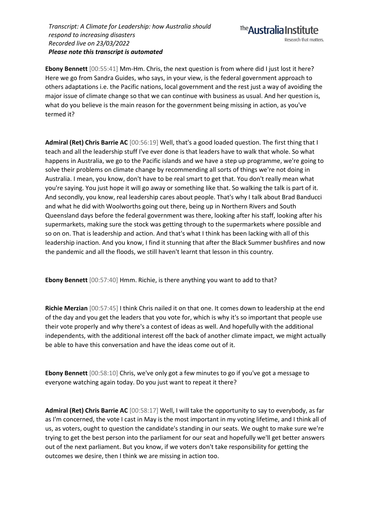**Ebony Bennett** [00:55:41] Mm-Hm. Chris, the next question is from where did I just lost it here? Here we go from Sandra Guides, who says, in your view, is the federal government approach to others adaptations i.e. the Pacific nations, local government and the rest just a way of avoiding the major issue of climate change so that we can continue with business as usual. And her question is, what do you believe is the main reason for the government being missing in action, as you've termed it?

**Admiral (Ret) Chris Barrie AC** [00:56:19] Well, that's a good loaded question. The first thing that I teach and all the leadership stuff I've ever done is that leaders have to walk that whole. So what happens in Australia, we go to the Pacific islands and we have a step up programme, we're going to solve their problems on climate change by recommending all sorts of things we're not doing in Australia. I mean, you know, don't have to be real smart to get that. You don't really mean what you're saying. You just hope it will go away or something like that. So walking the talk is part of it. And secondly, you know, real leadership cares about people. That's why I talk about Brad Banducci and what he did with Woolworths going out there, being up in Northern Rivers and South Queensland days before the federal government was there, looking after his staff, looking after his supermarkets, making sure the stock was getting through to the supermarkets where possible and so on on. That is leadership and action. And that's what I think has been lacking with all of this leadership inaction. And you know, I find it stunning that after the Black Summer bushfires and now the pandemic and all the floods, we still haven't learnt that lesson in this country.

**Ebony Bennett** [00:57:40] Hmm. Richie, is there anything you want to add to that?

**Richie Merzian** [00:57:45] I think Chris nailed it on that one. It comes down to leadership at the end of the day and you get the leaders that you vote for, which is why it's so important that people use their vote properly and why there's a contest of ideas as well. And hopefully with the additional independents, with the additional interest off the back of another climate impact, we might actually be able to have this conversation and have the ideas come out of it.

**Ebony Bennett** [00:58:10] Chris, we've only got a few minutes to go if you've got a message to everyone watching again today. Do you just want to repeat it there?

**Admiral (Ret) Chris Barrie AC** [00:58:17] Well, I will take the opportunity to say to everybody, as far as I'm concerned, the vote I cast in May is the most important in my voting lifetime, and I think all of us, as voters, ought to question the candidate's standing in our seats. We ought to make sure we're trying to get the best person into the parliament for our seat and hopefully we'll get better answers out of the next parliament. But you know, if we voters don't take responsibility for getting the outcomes we desire, then I think we are missing in action too.